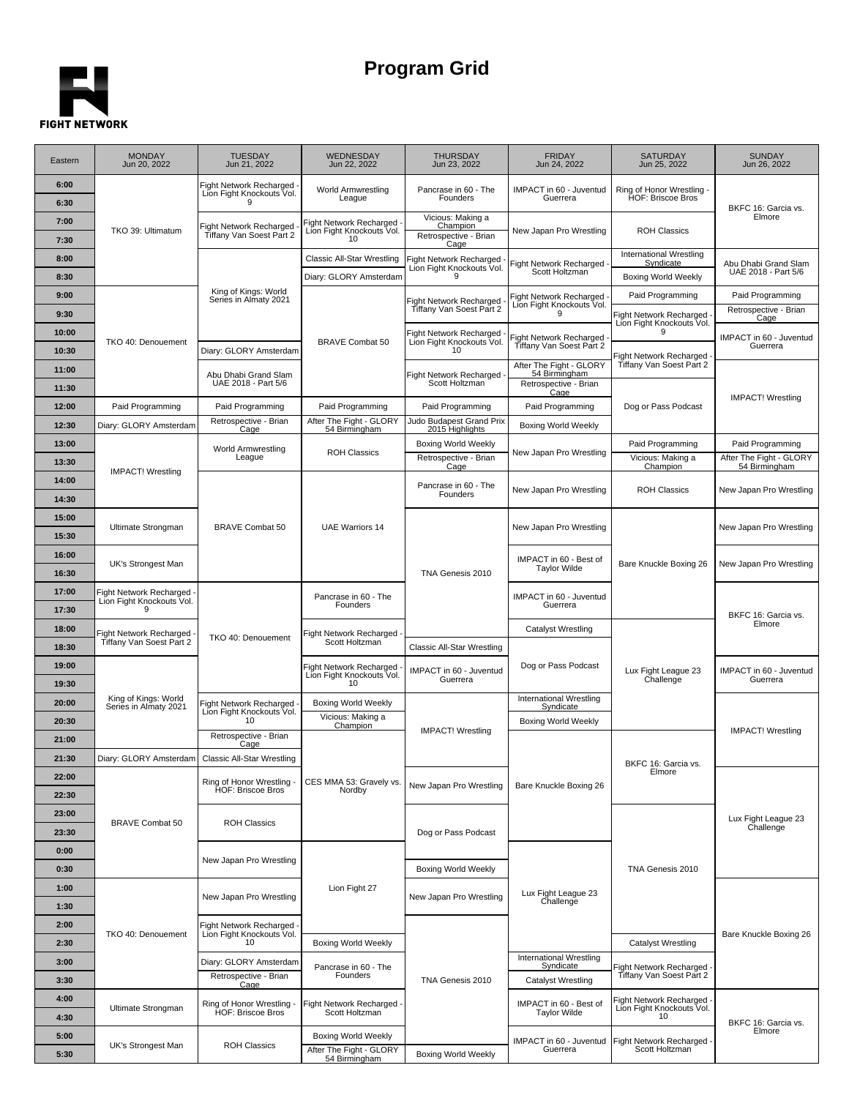## E. **FIGHT NETWORK**

## **Program Grid**

| Eastern        | <b>MONDAY</b><br>Jun 20, 2022                       | <b>TUESDAY</b><br>Jun 21, 2022                             | WEDNESDAY<br>Jun 22, 2022                                               | <b>THURSDAY</b><br>Jun 23, 2022                                | <b>FRIDAY</b><br>Jun 24, 2022                        | <b>SATURDAY</b><br>Jun 25, 2022                             | <b>SUNDAY</b><br>Jun 26, 2022               |
|----------------|-----------------------------------------------------|------------------------------------------------------------|-------------------------------------------------------------------------|----------------------------------------------------------------|------------------------------------------------------|-------------------------------------------------------------|---------------------------------------------|
| 6:00<br>6:30   |                                                     | Fight Network Recharged<br>Lion Fight Knockouts Vol.       | World Armwrestling<br>League                                            | Pancrase in 60 - The<br>Founders                               | IMPACT in 60 - Juventud<br>Guerrera                  | Ring of Honor Wrestling -<br>HOF: Briscoe Bros              | BKFC 16: Garcia vs.                         |
| 7:00<br>7:30   | TKO 39: Ultimatum                                   | Fight Network Recharged<br>Tiffany Van Soest Part 2        | Fight Network Recharged<br>Lion Fight Knockouts Vol.<br>10 <sup>1</sup> | Vicious: Making a<br>Champion<br>Retrospective - Brian<br>Cage | New Japan Pro Wrestling                              | <b>ROH Classics</b>                                         | Elmore                                      |
| 8:00           |                                                     |                                                            | <b>Classic All-Star Wrestling</b>                                       | Fight Network Recharged                                        | Fight Network Recharged                              | International Wrestling<br>Syndicate                        | Abu Dhabi Grand Slam                        |
| 8:30           |                                                     |                                                            | Diary: GLORY Amsterdam                                                  | Lion Fight Knockouts Vol.<br>9                                 | Scott Holtzman                                       | <b>Boxing World Weekly</b>                                  | UAE 2018 - Part 5/6                         |
| 9:00           |                                                     | King of Kings: World<br>Series in Almaty 2021              |                                                                         | Fight Network Recharged                                        | Fight Network Recharged<br>Lion Fight Knockouts Vol. | Paid Programming                                            | Paid Programming                            |
| 9:30           |                                                     |                                                            |                                                                         | Tiffany Van Soest Part 2                                       | 9                                                    | <b>Fight Network Recharged</b><br>Lion Fight Knockouts Vol. | Retrospective - Brian<br>Cage               |
| 10:00          | TKO 40: Denouement                                  |                                                            | <b>BRAVE Combat 50</b>                                                  | <b>Fight Network Recharged</b><br>Lion Fight Knockouts Vol.    | Fight Network Recharged                              | 9                                                           | IMPACT in 60 - Juventud                     |
| 10:30          |                                                     | Diary: GLORY Amsterdam                                     |                                                                         | 10                                                             | Tiffany Van Soest Part 2                             | Fight Network Recharged                                     | Guerrera                                    |
| 11:00          |                                                     | Abu Dhabi Grand Slam                                       |                                                                         | <b>Fight Network Recharged</b>                                 | After The Fight - GLORY<br>54 Birmingham             | Tiffany Van Soest Part 2                                    |                                             |
| 11:30          |                                                     | UAE 2018 - Part 5/6                                        |                                                                         | Scott Holtzman                                                 | Retrospective - Brian<br>Cage                        |                                                             | <b>IMPACT!</b> Wrestling                    |
| 12:00          | Paid Programming                                    | Paid Programming                                           | Paid Programming                                                        | Paid Programming                                               | Paid Programming                                     | Dog or Pass Podcast                                         |                                             |
| 12:30          | Diary: GLORY Amsterdam                              | Retrospective - Brian<br>Cage                              | After The Fight - GLORY<br>54 Birmingham                                | Judo Budapest Grand Prix<br>2015 Highlights                    | <b>Boxing World Weekly</b>                           |                                                             |                                             |
| 13:00          |                                                     | World Armwrestling<br>League                               | <b>ROH Classics</b>                                                     | <b>Boxing World Weekly</b><br>Retrospective - Brian            | New Japan Pro Wrestling                              | Paid Programming<br>Vicious: Making a                       | Paid Programming<br>After The Fight - GLORY |
| 13:30          | <b>IMPACT!</b> Wrestling                            |                                                            |                                                                         | Cage                                                           |                                                      | Champion                                                    | 54 Birmingham                               |
| 14:00          |                                                     |                                                            |                                                                         | Pancrase in 60 - The<br>Founders                               | New Japan Pro Wrestling                              | <b>ROH Classics</b>                                         | New Japan Pro Wrestling                     |
| 14:30          |                                                     |                                                            |                                                                         |                                                                |                                                      |                                                             |                                             |
| 15:00<br>15:30 | Ultimate Strongman                                  | <b>BRAVE Combat 50</b>                                     | <b>UAE Warriors 14</b>                                                  |                                                                | New Japan Pro Wrestling                              |                                                             | New Japan Pro Wrestling                     |
| 16:00          |                                                     |                                                            |                                                                         |                                                                |                                                      | Bare Knuckle Boxing 26                                      |                                             |
| 16:30          | UK's Strongest Man                                  |                                                            |                                                                         | TNA Genesis 2010                                               | IMPACT in 60 - Best of<br><b>Taylor Wilde</b>        |                                                             | New Japan Pro Wrestling                     |
| 17:00          | Fight Network Recharged                             |                                                            |                                                                         |                                                                |                                                      |                                                             |                                             |
| 17:30          | Lion Fight Knockouts Vol.<br>9                      |                                                            | Pancrase in 60 - The<br>Founders                                        |                                                                | IMPACT in 60 - Juventud<br>Guerrera                  |                                                             |                                             |
| 18:00          |                                                     |                                                            |                                                                         |                                                                | <b>Catalyst Wrestling</b>                            |                                                             | BKFC 16: Garcia vs.<br>Elmore               |
| 18:30          | Fight Network Recharged<br>Tiffany Van Soest Part 2 | TKO 40: Denouement                                         | Fight Network Recharged<br>Scott Holtzman                               | Classic All-Star Wrestling                                     |                                                      |                                                             |                                             |
| 19:00          |                                                     |                                                            | Fight Network Recharged                                                 | IMPACT in 60 - Juventud                                        | Dog or Pass Podcast                                  | Lux Fight League 23                                         | IMPACT in 60 - Juventud                     |
| 19:30          |                                                     |                                                            | Lion Fight Knockouts Vol.<br>10                                         | Guerrera                                                       |                                                      | Challenge                                                   | Guerrera                                    |
| 20:00          | King of Kings: World<br>Series in Almaty 2021       | Fight Network Recharged                                    | <b>Boxing World Weekly</b>                                              |                                                                | <b>International Wrestling</b><br>Syndicate          |                                                             |                                             |
| 20:30          |                                                     | Lion Fight Knockouts Vol.<br>10                            | Vicious: Making a<br>Champion                                           | <b>IMPACT!</b> Wrestling                                       | Boxing World Weekly                                  |                                                             | <b>IMPACT!</b> Wrestling                    |
| 21:00          |                                                     | Retrospective - Brian<br>Cage                              |                                                                         |                                                                |                                                      |                                                             |                                             |
| 21:30          | Diary: GLORY Amsterdam                              | Classic All-Star Wrestling                                 |                                                                         |                                                                |                                                      | BKFC 16: Garcia vs.                                         |                                             |
| 22:00          |                                                     | Ring of Honor Wrestling -                                  | CES MMA 53: Gravely vs.                                                 | New Japan Pro Wrestling                                        | Bare Knuckle Boxing 26                               | Elmore                                                      |                                             |
| 22:30          | <b>BRAVE Combat 50</b>                              | HOF: Briscoe Bros                                          | Nordby                                                                  |                                                                |                                                      |                                                             | Lux Fight League 23<br>Challenge            |
| 23:00          |                                                     | <b>ROH Classics</b>                                        |                                                                         |                                                                |                                                      |                                                             |                                             |
| 23:30          |                                                     |                                                            |                                                                         | Dog or Pass Podcast                                            |                                                      |                                                             |                                             |
| 0:00           |                                                     | New Japan Pro Wrestling                                    |                                                                         |                                                                |                                                      |                                                             |                                             |
| 0:30           |                                                     |                                                            |                                                                         | <b>Boxing World Weekly</b>                                     |                                                      | TNA Genesis 2010                                            |                                             |
| 1:00<br>1:30   |                                                     | New Japan Pro Wrestling                                    | Lion Fight 27                                                           | New Japan Pro Wrestling                                        | Lux Fight League 23<br>Challenge                     |                                                             |                                             |
|                |                                                     |                                                            |                                                                         |                                                                |                                                      |                                                             |                                             |
| 2:00<br>2:30   | TKO 40: Denouement                                  | Fight Network Recharged<br>Lion Fight Knockouts Vol.<br>10 | <b>Boxing World Weekly</b>                                              |                                                                |                                                      | Catalyst Wrestling                                          | Bare Knuckle Boxing 26                      |
| 3:00           |                                                     | Diary: GLORY Amsterdam                                     |                                                                         |                                                                | International Wrestling                              |                                                             |                                             |
| 3:30           |                                                     | Retrospective - Brian                                      | Pancrase in 60 - The<br>Founders                                        | TNA Genesis 2010                                               | Syndicate<br><b>Catalyst Wrestling</b>               | Fight Network Recharged<br>Tiffany Van Soest Part 2         |                                             |
| 4:00           |                                                     | Cage                                                       |                                                                         |                                                                |                                                      | Fight Network Recharged                                     |                                             |
| 4:30           | Ultimate Strongman                                  | Ring of Honor Wrestling -<br>HOF: Briscoe Bros             | Fight Network Recharged .<br>Scott Holtzman                             |                                                                | IMPACT in 60 - Best of<br><b>Taylor Wilde</b>        | Lion Fight Knockouts Vol.<br>10                             | BKFC 16: Garcia vs.                         |
| 5:00           |                                                     |                                                            | <b>Boxing World Weekly</b>                                              |                                                                | IMPACT in 60 - Juventud                              | Fight Network Recharged -                                   | Elmore                                      |
| 5:30           | UK's Strongest Man                                  | <b>ROH Classics</b>                                        | After The Fight - GLORY<br>54 Birmingham                                | <b>Boxing World Weekly</b>                                     | Guerrera                                             | Scott Holtzman                                              |                                             |